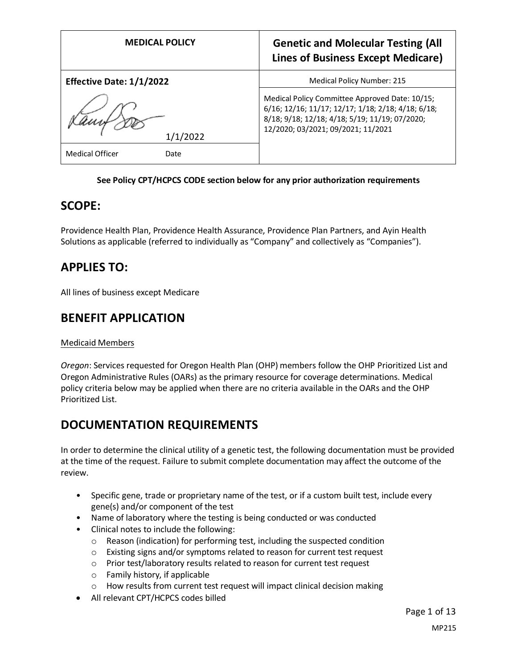| <b>MEDICAL POLICY</b>          | <b>Genetic and Molecular Testing (All</b><br><b>Lines of Business Except Medicare)</b>                                                                                                       |
|--------------------------------|----------------------------------------------------------------------------------------------------------------------------------------------------------------------------------------------|
| Effective Date: 1/1/2022       | Medical Policy Number: 215                                                                                                                                                                   |
| /2022                          | Medical Policy Committee Approved Date: 10/15;<br>6/16; 12/16; 11/17; 12/17; 1/18; 2/18; 4/18; 6/18;<br>8/18; 9/18; 12/18; 4/18; 5/19; 11/19; 07/2020;<br>12/2020; 03/2021; 09/2021; 11/2021 |
| <b>Medical Officer</b><br>Date |                                                                                                                                                                                              |

### **See Policy CPT/HCPCS CODE section below for any prior authorization requirements**

### **SCOPE:**

Providence Health Plan, Providence Health Assurance, Providence Plan Partners, and Ayin Health Solutions as applicable (referred to individually as "Company" and collectively as "Companies").

## **APPLIES TO:**

All lines of business except Medicare

### **BENEFIT APPLICATION**

### Medicaid Members

*Oregon*: Services requested for Oregon Health Plan (OHP) members follow the OHP Prioritized List and Oregon Administrative Rules (OARs) as the primary resource for coverage determinations. Medical policy criteria below may be applied when there are no criteria available in the OARs and the OHP Prioritized List.

## **DOCUMENTATION REQUIREMENTS**

In order to determine the clinical utility of a genetic test, the following documentation must be provided at the time of the request. Failure to submit complete documentation may affect the outcome of the review.

- Specific gene, trade or proprietary name of the test, or if a custom built test, include every gene(s) and/or component of the test
- Name of laboratory where the testing is being conducted or was conducted
- Clinical notes to include the following:
	- o Reason (indication) for performing test, including the suspected condition
	- o Existing signs and/or symptoms related to reason for current test request
	- o Prior test/laboratory results related to reason for current test request
	- o Family history, if applicable
	- o How results from current test request will impact clinical decision making
- All relevant CPT/HCPCS codes billed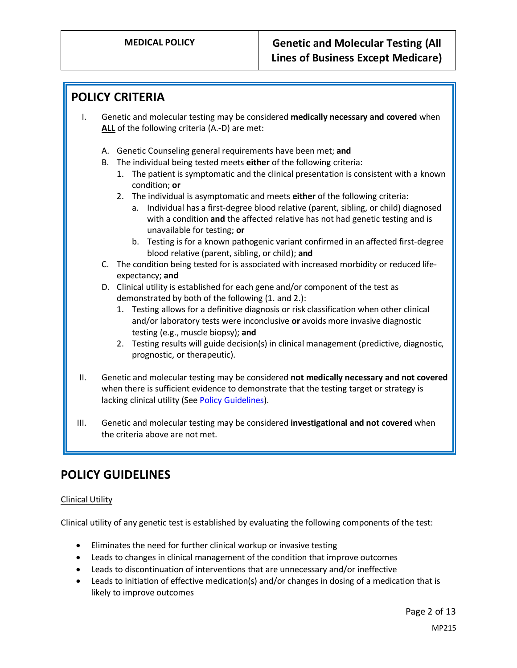### **POLICY CRITERIA**

- I. Genetic and molecular testing may be considered **medically necessary and covered** when **ALL** of the following criteria (A.-D) are met:
	- A. Genetic Counseling general requirements have been met; **and**
	- B. The individual being tested meets **either** of the following criteria:
		- 1. The patient is symptomatic and the clinical presentation is consistent with a known condition; **or**
		- 2. The individual is asymptomatic and meets **either** of the following criteria:
			- a. Individual has a first-degree blood relative (parent, sibling, or child) diagnosed with a condition **and** the affected relative has not had genetic testing and is unavailable for testing; **or**
			- b. Testing is for a known pathogenic variant confirmed in an affected first-degree blood relative (parent, sibling, or child); **and**
	- C. The condition being tested for is associated with increased morbidity or reduced lifeexpectancy; **and**
	- D. Clinical utility is established for each gene and/or component of the test as demonstrated by both of the following (1. and 2.):
		- 1. Testing allows for a definitive diagnosis or risk classification when other clinical and/or laboratory tests were inconclusive **or** avoids more invasive diagnostic testing (e.g., muscle biopsy); **and**
		- 2. Testing results will guide decision(s) in clinical management (predictive, diagnostic, prognostic, or therapeutic).
- II. Genetic and molecular testing may be considered **not medically necessary and not covered** when there is sufficient evidence to demonstrate that the testing target or strategy is lacking clinical utility (Se[e Policy Guidelines\)](#page-1-0).
- III. Genetic and molecular testing may be considered **investigational and not covered** when the criteria above are not met.

### <span id="page-1-0"></span>**POLICY GUIDELINES**

### Clinical Utility

Clinical utility of any genetic test is established by evaluating the following components of the test:

- Eliminates the need for further clinical workup or invasive testing
- Leads to changes in clinical management of the condition that improve outcomes
- Leads to discontinuation of interventions that are unnecessary and/or ineffective
- Leads to initiation of effective medication(s) and/or changes in dosing of a medication that is likely to improve outcomes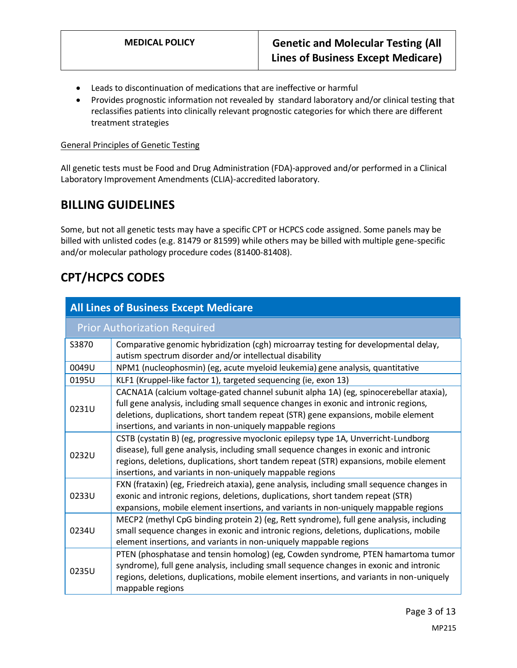- Leads to discontinuation of medications that are ineffective or harmful
- Provides prognostic information not revealed by standard laboratory and/or clinical testing that reclassifies patients into clinically relevant prognostic categories for which there are different treatment strategies

### General Principles of Genetic Testing

All genetic tests must be Food and Drug Administration (FDA)-approved and/or performed in a Clinical Laboratory Improvement Amendments (CLIA)-accredited laboratory.

### **BILLING GUIDELINES**

Some, but not all genetic tests may have a specific CPT or HCPCS code assigned. Some panels may be billed with unlisted codes (e.g. 81479 or 81599) while others may be billed with multiple gene-specific and/or molecular pathology procedure codes (81400-81408).

## **CPT/HCPCS CODES**

| <b>All Lines of Business Except Medicare</b> |                                                                                                                                                                                                                                                                                                                                    |
|----------------------------------------------|------------------------------------------------------------------------------------------------------------------------------------------------------------------------------------------------------------------------------------------------------------------------------------------------------------------------------------|
| <b>Prior Authorization Required</b>          |                                                                                                                                                                                                                                                                                                                                    |
| S3870                                        | Comparative genomic hybridization (cgh) microarray testing for developmental delay,<br>autism spectrum disorder and/or intellectual disability                                                                                                                                                                                     |
| 0049U                                        | NPM1 (nucleophosmin) (eg, acute myeloid leukemia) gene analysis, quantitative                                                                                                                                                                                                                                                      |
| 0195U                                        | KLF1 (Kruppel-like factor 1), targeted sequencing (ie, exon 13)                                                                                                                                                                                                                                                                    |
| 0231U                                        | CACNA1A (calcium voltage-gated channel subunit alpha 1A) (eg, spinocerebellar ataxia),<br>full gene analysis, including small sequence changes in exonic and intronic regions,<br>deletions, duplications, short tandem repeat (STR) gene expansions, mobile element<br>insertions, and variants in non-uniquely mappable regions  |
| 0232U                                        | CSTB (cystatin B) (eg, progressive myoclonic epilepsy type 1A, Unverricht-Lundborg<br>disease), full gene analysis, including small sequence changes in exonic and intronic<br>regions, deletions, duplications, short tandem repeat (STR) expansions, mobile element<br>insertions, and variants in non-uniquely mappable regions |
| 0233U                                        | FXN (frataxin) (eg, Friedreich ataxia), gene analysis, including small sequence changes in<br>exonic and intronic regions, deletions, duplications, short tandem repeat (STR)<br>expansions, mobile element insertions, and variants in non-uniquely mappable regions                                                              |
| 0234U                                        | MECP2 (methyl CpG binding protein 2) (eg, Rett syndrome), full gene analysis, including<br>small sequence changes in exonic and intronic regions, deletions, duplications, mobile<br>element insertions, and variants in non-uniquely mappable regions                                                                             |
| 0235U                                        | PTEN (phosphatase and tensin homolog) (eg, Cowden syndrome, PTEN hamartoma tumor<br>syndrome), full gene analysis, including small sequence changes in exonic and intronic<br>regions, deletions, duplications, mobile element insertions, and variants in non-uniquely<br>mappable regions                                        |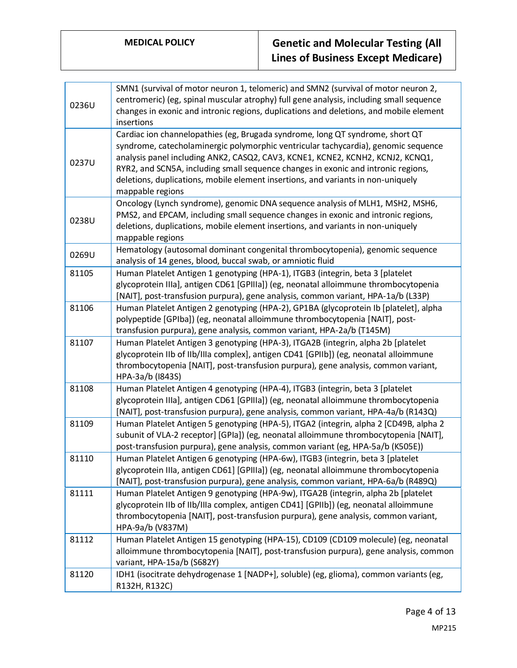| 0236U | SMN1 (survival of motor neuron 1, telomeric) and SMN2 (survival of motor neuron 2,<br>centromeric) (eg, spinal muscular atrophy) full gene analysis, including small sequence<br>changes in exonic and intronic regions, duplications and deletions, and mobile element<br>insertions                                                                                                                                                              |
|-------|----------------------------------------------------------------------------------------------------------------------------------------------------------------------------------------------------------------------------------------------------------------------------------------------------------------------------------------------------------------------------------------------------------------------------------------------------|
| 0237U | Cardiac ion channelopathies (eg, Brugada syndrome, long QT syndrome, short QT<br>syndrome, catecholaminergic polymorphic ventricular tachycardia), genomic sequence<br>analysis panel including ANK2, CASQ2, CAV3, KCNE1, KCNE2, KCNH2, KCNJ2, KCNQ1,<br>RYR2, and SCN5A, including small sequence changes in exonic and intronic regions,<br>deletions, duplications, mobile element insertions, and variants in non-uniquely<br>mappable regions |
| 0238U | Oncology (Lynch syndrome), genomic DNA sequence analysis of MLH1, MSH2, MSH6,<br>PMS2, and EPCAM, including small sequence changes in exonic and intronic regions,<br>deletions, duplications, mobile element insertions, and variants in non-uniquely<br>mappable regions                                                                                                                                                                         |
| 0269U | Hematology (autosomal dominant congenital thrombocytopenia), genomic sequence<br>analysis of 14 genes, blood, buccal swab, or amniotic fluid                                                                                                                                                                                                                                                                                                       |
| 81105 | Human Platelet Antigen 1 genotyping (HPA-1), ITGB3 (integrin, beta 3 [platelet<br>glycoprotein IIIa], antigen CD61 [GPIIIa]) (eg, neonatal alloimmune thrombocytopenia<br>[NAIT], post-transfusion purpura), gene analysis, common variant, HPA-1a/b (L33P)                                                                                                                                                                                        |
| 81106 | Human Platelet Antigen 2 genotyping (HPA-2), GP1BA (glycoprotein Ib [platelet], alpha<br>polypeptide [GPIba]) (eg, neonatal alloimmune thrombocytopenia [NAIT], post-<br>transfusion purpura), gene analysis, common variant, HPA-2a/b (T145M)                                                                                                                                                                                                     |
| 81107 | Human Platelet Antigen 3 genotyping (HPA-3), ITGA2B (integrin, alpha 2b [platelet<br>glycoprotein IIb of IIb/IIIa complex], antigen CD41 [GPIIb]) (eg, neonatal alloimmune<br>thrombocytopenia [NAIT], post-transfusion purpura), gene analysis, common variant,<br>HPA-3a/b (1843S)                                                                                                                                                               |
| 81108 | Human Platelet Antigen 4 genotyping (HPA-4), ITGB3 (integrin, beta 3 [platelet<br>glycoprotein IIIa], antigen CD61 [GPIIIa]) (eg, neonatal alloimmune thrombocytopenia<br>[NAIT], post-transfusion purpura), gene analysis, common variant, HPA-4a/b (R143Q)                                                                                                                                                                                       |
| 81109 | Human Platelet Antigen 5 genotyping (HPA-5), ITGA2 (integrin, alpha 2 [CD49B, alpha 2<br>subunit of VLA-2 receptor] [GPIa]) (eg, neonatal alloimmune thrombocytopenia [NAIT],<br>post-transfusion purpura), gene analysis, common variant (eg, HPA-5a/b (K505E))                                                                                                                                                                                   |
| 81110 | Human Platelet Antigen 6 genotyping (HPA-6w), ITGB3 (integrin, beta 3 [platelet<br>glycoprotein IIIa, antigen CD61] [GPIIIa]) (eg, neonatal alloimmune thrombocytopenia<br>[NAIT], post-transfusion purpura), gene analysis, common variant, HPA-6a/b (R489Q)                                                                                                                                                                                      |
| 81111 | Human Platelet Antigen 9 genotyping (HPA-9w), ITGA2B (integrin, alpha 2b [platelet<br>glycoprotein IIb of IIb/IIIa complex, antigen CD41] [GPIIb]) (eg, neonatal alloimmune<br>thrombocytopenia [NAIT], post-transfusion purpura), gene analysis, common variant,<br>HPA-9a/b (V837M)                                                                                                                                                              |
| 81112 | Human Platelet Antigen 15 genotyping (HPA-15), CD109 (CD109 molecule) (eg, neonatal<br>alloimmune thrombocytopenia [NAIT], post-transfusion purpura), gene analysis, common<br>variant, HPA-15a/b (S682Y)                                                                                                                                                                                                                                          |
| 81120 | IDH1 (isocitrate dehydrogenase 1 [NADP+], soluble) (eg, glioma), common variants (eg,<br>R132H, R132C)                                                                                                                                                                                                                                                                                                                                             |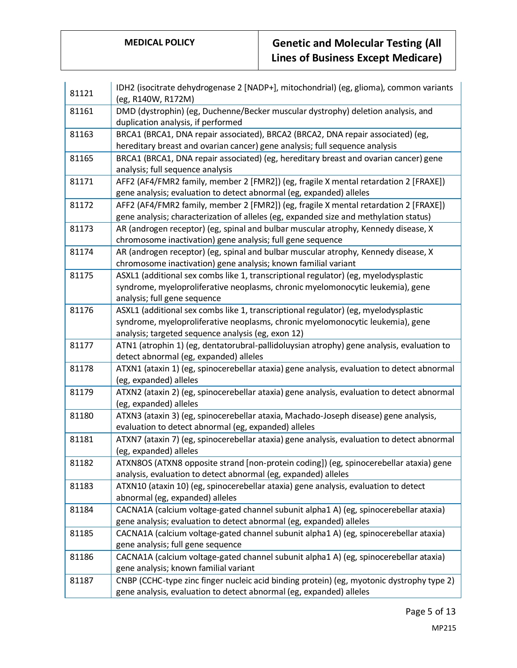| 81121 | IDH2 (isocitrate dehydrogenase 2 [NADP+], mitochondrial) (eg, glioma), common variants<br>(eg, R140W, R172M)                                                                                                                |
|-------|-----------------------------------------------------------------------------------------------------------------------------------------------------------------------------------------------------------------------------|
| 81161 | DMD (dystrophin) (eg, Duchenne/Becker muscular dystrophy) deletion analysis, and<br>duplication analysis, if performed                                                                                                      |
| 81163 | BRCA1 (BRCA1, DNA repair associated), BRCA2 (BRCA2, DNA repair associated) (eg,<br>hereditary breast and ovarian cancer) gene analysis; full sequence analysis                                                              |
| 81165 | BRCA1 (BRCA1, DNA repair associated) (eg, hereditary breast and ovarian cancer) gene<br>analysis; full sequence analysis                                                                                                    |
| 81171 | AFF2 (AF4/FMR2 family, member 2 [FMR2]) (eg, fragile X mental retardation 2 [FRAXE])<br>gene analysis; evaluation to detect abnormal (eg, expanded) alleles                                                                 |
| 81172 | AFF2 (AF4/FMR2 family, member 2 [FMR2]) (eg, fragile X mental retardation 2 [FRAXE])<br>gene analysis; characterization of alleles (eg, expanded size and methylation status)                                               |
| 81173 | AR (androgen receptor) (eg, spinal and bulbar muscular atrophy, Kennedy disease, X<br>chromosome inactivation) gene analysis; full gene sequence                                                                            |
| 81174 | AR (androgen receptor) (eg, spinal and bulbar muscular atrophy, Kennedy disease, X<br>chromosome inactivation) gene analysis; known familial variant                                                                        |
| 81175 | ASXL1 (additional sex combs like 1, transcriptional regulator) (eg, myelodysplastic<br>syndrome, myeloproliferative neoplasms, chronic myelomonocytic leukemia), gene<br>analysis; full gene sequence                       |
| 81176 | ASXL1 (additional sex combs like 1, transcriptional regulator) (eg, myelodysplastic<br>syndrome, myeloproliferative neoplasms, chronic myelomonocytic leukemia), gene<br>analysis; targeted sequence analysis (eg, exon 12) |
| 81177 | ATN1 (atrophin 1) (eg, dentatorubral-pallidoluysian atrophy) gene analysis, evaluation to<br>detect abnormal (eg, expanded) alleles                                                                                         |
| 81178 | ATXN1 (ataxin 1) (eg, spinocerebellar ataxia) gene analysis, evaluation to detect abnormal<br>(eg, expanded) alleles                                                                                                        |
| 81179 | ATXN2 (ataxin 2) (eg, spinocerebellar ataxia) gene analysis, evaluation to detect abnormal<br>(eg, expanded) alleles                                                                                                        |
| 81180 | ATXN3 (ataxin 3) (eg, spinocerebellar ataxia, Machado-Joseph disease) gene analysis,<br>evaluation to detect abnormal (eg, expanded) alleles                                                                                |
| 81181 | ATXN7 (ataxin 7) (eg, spinocerebellar ataxia) gene analysis, evaluation to detect abnormal<br>(eg, expanded) alleles                                                                                                        |
| 81182 | ATXN8OS (ATXN8 opposite strand [non-protein coding]) (eg, spinocerebellar ataxia) gene<br>analysis, evaluation to detect abnormal (eg, expanded) alleles                                                                    |
| 81183 | ATXN10 (ataxin 10) (eg, spinocerebellar ataxia) gene analysis, evaluation to detect<br>abnormal (eg, expanded) alleles                                                                                                      |
| 81184 | CACNA1A (calcium voltage-gated channel subunit alpha1 A) (eg, spinocerebellar ataxia)<br>gene analysis; evaluation to detect abnormal (eg, expanded) alleles                                                                |
| 81185 | CACNA1A (calcium voltage-gated channel subunit alpha1 A) (eg, spinocerebellar ataxia)<br>gene analysis; full gene sequence                                                                                                  |
| 81186 | CACNA1A (calcium voltage-gated channel subunit alpha1 A) (eg, spinocerebellar ataxia)<br>gene analysis; known familial variant                                                                                              |
| 81187 | CNBP (CCHC-type zinc finger nucleic acid binding protein) (eg, myotonic dystrophy type 2)<br>gene analysis, evaluation to detect abnormal (eg, expanded) alleles                                                            |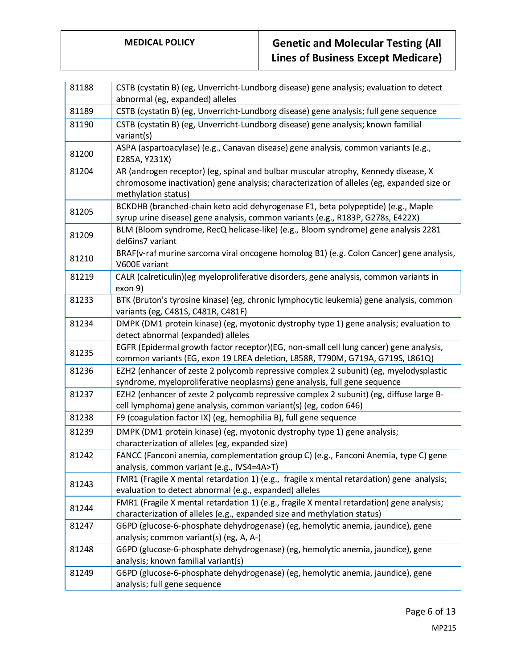| 81188 | CSTB (cystatin B) (eg, Unverricht-Lundborg disease) gene analysis; evaluation to detect<br>abnormal (eg, expanded) alleles                                                                             |
|-------|--------------------------------------------------------------------------------------------------------------------------------------------------------------------------------------------------------|
| 81189 | CSTB (cystatin B) (eg, Unverricht-Lundborg disease) gene analysis; full gene sequence                                                                                                                  |
| 81190 | CSTB (cystatin B) (eg, Unverricht-Lundborg disease) gene analysis; known familial<br>variant(s)                                                                                                        |
| 81200 | ASPA (aspartoacylase) (e.g., Canavan disease) gene analysis, common variants (e.g.,<br>E285A, Y231X)                                                                                                   |
| 81204 | AR (androgen receptor) (eg, spinal and bulbar muscular atrophy, Kennedy disease, X<br>chromosome inactivation) gene analysis; characterization of alleles (eg, expanded size or<br>methylation status) |
| 81205 | BCKDHB (branched-chain keto acid dehyrogenase E1, beta polypeptide) (e.g., Maple<br>syrup urine disease) gene analysis, common variants (e.g., R183P, G278s, E422X)                                    |
| 81209 | BLM (Bloom syndrome, RecQ helicase-like) (e.g., Bloom syndrome) gene analysis 2281<br>del6ins7 variant                                                                                                 |
| 81210 | BRAF(v-raf murine sarcoma viral oncogene homolog B1) (e.g. Colon Cancer) gene analysis,<br>V600E variant                                                                                               |
| 81219 | CALR (calreticulin)(eg myeloproliferative disorders, gene analysis, common variants in<br>exon 9)                                                                                                      |
| 81233 | BTK (Bruton's tyrosine kinase) (eg, chronic lymphocytic leukemia) gene analysis, common<br>variants (eg, C481S, C481R, C481F)                                                                          |
| 81234 | DMPK (DM1 protein kinase) (eg, myotonic dystrophy type 1) gene analysis; evaluation to<br>detect abnormal (expanded) alleles                                                                           |
| 81235 | EGFR (Epidermal growth factor receptor)(EG, non-small cell lung cancer) gene analysis,<br>common variants (EG, exon 19 LREA deletion, L858R, T790M, G719A, G719S, L861Q)                               |
| 81236 | EZH2 (enhancer of zeste 2 polycomb repressive complex 2 subunit) (eg, myelodysplastic<br>syndrome, myeloproliferative neoplasms) gene analysis, full gene sequence                                     |
| 81237 | EZH2 (enhancer of zeste 2 polycomb repressive complex 2 subunit) (eg, diffuse large B-<br>cell lymphoma) gene analysis, common variant(s) (eg, codon 646)                                              |
| 81238 | F9 (coagulation factor IX) (eg, hemophilia B), full gene sequence                                                                                                                                      |
| 81239 | DMPK (DM1 protein kinase) (eg, myotonic dystrophy type 1) gene analysis;<br>characterization of alleles (eg, expanded size)                                                                            |
| 81242 | FANCC (Fanconi anemia, complementation group C) (e.g., Fanconi Anemia, type C) gene<br>analysis, common variant (e.g., IVS4=4A>T)                                                                      |
| 81243 | FMR1 (Fragile X mental retardation 1) (e.g., fragile x mental retardation) gene analysis;<br>evaluation to detect abnormal (e.g., expanded) alleles                                                    |
| 81244 | FMR1 (Fragile X mental retardation 1) (e.g., fragile X mental retardation) gene analysis;<br>characterization of alleles (e.g., expanded size and methylation status)                                  |
| 81247 | G6PD (glucose-6-phosphate dehydrogenase) (eg, hemolytic anemia, jaundice), gene<br>analysis; common variant(s) (eg, A, A-)                                                                             |
| 81248 | G6PD (glucose-6-phosphate dehydrogenase) (eg, hemolytic anemia, jaundice), gene<br>analysis; known familial variant(s)                                                                                 |
| 81249 | G6PD (glucose-6-phosphate dehydrogenase) (eg, hemolytic anemia, jaundice), gene<br>analysis; full gene sequence                                                                                        |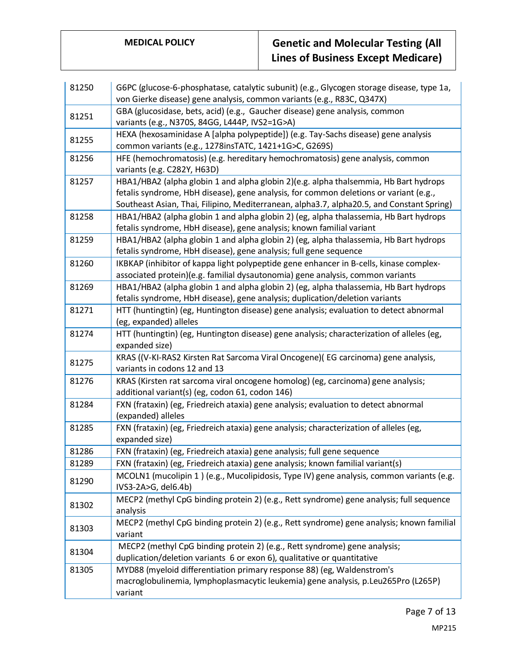| 81250 | G6PC (glucose-6-phosphatase, catalytic subunit) (e.g., Glycogen storage disease, type 1a,<br>von Gierke disease) gene analysis, common variants (e.g., R83C, Q347X)                                                                                                        |
|-------|----------------------------------------------------------------------------------------------------------------------------------------------------------------------------------------------------------------------------------------------------------------------------|
| 81251 | GBA (glucosidase, bets, acid) (e.g., Gaucher disease) gene analysis, common<br>variants (e.g., N370S, 84GG, L444P, IVS2=1G>A)                                                                                                                                              |
| 81255 | HEXA (hexosaminidase A [alpha polypeptide]) (e.g. Tay-Sachs disease) gene analysis<br>common variants (e.g., 1278insTATC, 1421+1G>C, G269S)                                                                                                                                |
| 81256 | HFE (hemochromatosis) (e.g. hereditary hemochromatosis) gene analysis, common<br>variants (e.g. C282Y, H63D)                                                                                                                                                               |
| 81257 | HBA1/HBA2 (alpha globin 1 and alpha globin 2)(e.g. alpha thalsemmia, Hb Bart hydrops<br>fetalis syndrome, HbH disease), gene analysis, for common deletions or variant (e.g.,<br>Southeast Asian, Thai, Filipino, Mediterranean, alpha3.7, alpha20.5, and Constant Spring) |
| 81258 | HBA1/HBA2 (alpha globin 1 and alpha globin 2) (eg, alpha thalassemia, Hb Bart hydrops<br>fetalis syndrome, HbH disease), gene analysis; known familial variant                                                                                                             |
| 81259 | HBA1/HBA2 (alpha globin 1 and alpha globin 2) (eg, alpha thalassemia, Hb Bart hydrops<br>fetalis syndrome, HbH disease), gene analysis; full gene sequence                                                                                                                 |
| 81260 | IKBKAP (inhibitor of kappa light polypeptide gene enhancer in B-cells, kinase complex-<br>associated protein)(e.g. familial dysautonomia) gene analysis, common variants                                                                                                   |
| 81269 | HBA1/HBA2 (alpha globin 1 and alpha globin 2) (eg, alpha thalassemia, Hb Bart hydrops<br>fetalis syndrome, HbH disease), gene analysis; duplication/deletion variants                                                                                                      |
| 81271 | HTT (huntingtin) (eg, Huntington disease) gene analysis; evaluation to detect abnormal<br>(eg, expanded) alleles                                                                                                                                                           |
| 81274 | HTT (huntingtin) (eg, Huntington disease) gene analysis; characterization of alleles (eg,<br>expanded size)                                                                                                                                                                |
| 81275 | KRAS ((V-KI-RAS2 Kirsten Rat Sarcoma Viral Oncogene) (EG carcinoma) gene analysis,<br>variants in codons 12 and 13                                                                                                                                                         |
| 81276 | KRAS (Kirsten rat sarcoma viral oncogene homolog) (eg, carcinoma) gene analysis;<br>additional variant(s) (eg, codon 61, codon 146)                                                                                                                                        |
| 81284 | FXN (frataxin) (eg, Friedreich ataxia) gene analysis; evaluation to detect abnormal<br>(expanded) alleles                                                                                                                                                                  |
| 81285 | FXN (frataxin) (eg, Friedreich ataxia) gene analysis; characterization of alleles (eg,<br>expanded size)                                                                                                                                                                   |
| 81286 | FXN (frataxin) (eg, Friedreich ataxia) gene analysis; full gene sequence                                                                                                                                                                                                   |
| 81289 | FXN (frataxin) (eg, Friedreich ataxia) gene analysis; known familial variant(s)                                                                                                                                                                                            |
| 81290 | MCOLN1 (mucolipin 1) (e.g., Mucolipidosis, Type IV) gene analysis, common variants (e.g.<br>IVS3-2A>G, del6.4b)                                                                                                                                                            |
| 81302 | MECP2 (methyl CpG binding protein 2) (e.g., Rett syndrome) gene analysis; full sequence<br>analysis                                                                                                                                                                        |
| 81303 | MECP2 (methyl CpG binding protein 2) (e.g., Rett syndrome) gene analysis; known familial<br>variant                                                                                                                                                                        |
| 81304 | MECP2 (methyl CpG binding protein 2) (e.g., Rett syndrome) gene analysis;<br>duplication/deletion variants 6 or exon 6), qualitative or quantitative                                                                                                                       |
| 81305 | MYD88 (myeloid differentiation primary response 88) (eg, Waldenstrom's<br>macroglobulinemia, lymphoplasmacytic leukemia) gene analysis, p.Leu265Pro (L265P)<br>variant                                                                                                     |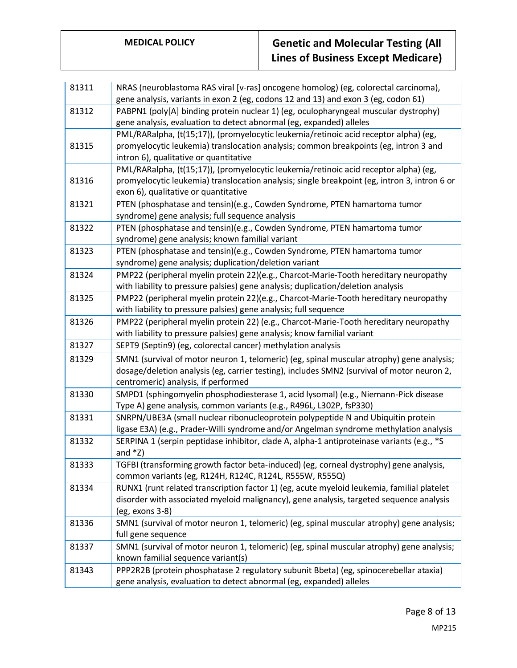| 81311 | NRAS (neuroblastoma RAS viral [v-ras] oncogene homolog) (eg, colorectal carcinoma),          |
|-------|----------------------------------------------------------------------------------------------|
|       | gene analysis, variants in exon 2 (eg, codons 12 and 13) and exon 3 (eg, codon 61)           |
| 81312 | PABPN1 (poly[A] binding protein nuclear 1) (eg, oculopharyngeal muscular dystrophy)          |
|       | gene analysis, evaluation to detect abnormal (eg, expanded) alleles                          |
|       | PML/RARalpha, (t(15;17)), (promyelocytic leukemia/retinoic acid receptor alpha) (eg,         |
| 81315 | promyelocytic leukemia) translocation analysis; common breakpoints (eg, intron 3 and         |
|       | intron 6), qualitative or quantitative                                                       |
|       | PML/RARalpha, (t(15;17)), (promyelocytic leukemia/retinoic acid receptor alpha) (eg,         |
| 81316 | promyelocytic leukemia) translocation analysis; single breakpoint (eg, intron 3, intron 6 or |
|       | exon 6), qualitative or quantitative                                                         |
| 81321 | PTEN (phosphatase and tensin)(e.g., Cowden Syndrome, PTEN hamartoma tumor                    |
|       | syndrome) gene analysis; full sequence analysis                                              |
| 81322 | PTEN (phosphatase and tensin)(e.g., Cowden Syndrome, PTEN hamartoma tumor                    |
|       | syndrome) gene analysis; known familial variant                                              |
| 81323 | PTEN (phosphatase and tensin)(e.g., Cowden Syndrome, PTEN hamartoma tumor                    |
|       | syndrome) gene analysis; duplication/deletion variant                                        |
| 81324 | PMP22 (peripheral myelin protein 22)(e.g., Charcot-Marie-Tooth hereditary neuropathy         |
|       | with liability to pressure palsies) gene analysis; duplication/deletion analysis             |
| 81325 | PMP22 (peripheral myelin protein 22)(e.g., Charcot-Marie-Tooth hereditary neuropathy         |
|       | with liability to pressure palsies) gene analysis; full sequence                             |
| 81326 | PMP22 (peripheral myelin protein 22) (e.g., Charcot-Marie-Tooth hereditary neuropathy        |
|       | with liability to pressure palsies) gene analysis; know familial variant                     |
| 81327 | SEPT9 (Septin9) (eg, colorectal cancer) methylation analysis                                 |
| 81329 | SMN1 (survival of motor neuron 1, telomeric) (eg, spinal muscular atrophy) gene analysis;    |
|       | dosage/deletion analysis (eg, carrier testing), includes SMN2 (survival of motor neuron 2,   |
|       | centromeric) analysis, if performed                                                          |
| 81330 | SMPD1 (sphingomyelin phosphodiesterase 1, acid lysomal) (e.g., Niemann-Pick disease          |
|       | Type A) gene analysis, common variants (e.g., R496L, L302P, fsP330)                          |
| 81331 | SNRPN/UBE3A (small nuclear ribonucleoprotein polypeptide N and Ubiquitin protein             |
|       | ligase E3A) (e.g., Prader-Willi syndrome and/or Angelman syndrome methylation analysis       |
| 81332 | SERPINA 1 (serpin peptidase inhibitor, clade A, alpha-1 antiproteinase variants (e.g., *S    |
|       | and $*Z$ )                                                                                   |
| 81333 | TGFBI (transforming growth factor beta-induced) (eg, corneal dystrophy) gene analysis,       |
|       | common variants (eg, R124H, R124C, R124L, R555W, R555Q)                                      |
| 81334 | RUNX1 (runt related transcription factor 1) (eg, acute myeloid leukemia, familial platelet   |
|       | disorder with associated myeloid malignancy), gene analysis, targeted sequence analysis      |
|       | (eg, exons 3-8)                                                                              |
| 81336 | SMN1 (survival of motor neuron 1, telomeric) (eg, spinal muscular atrophy) gene analysis;    |
|       | full gene sequence                                                                           |
| 81337 | SMN1 (survival of motor neuron 1, telomeric) (eg, spinal muscular atrophy) gene analysis;    |
|       | known familial sequence variant(s)                                                           |
| 81343 | PPP2R2B (protein phosphatase 2 regulatory subunit Bbeta) (eg, spinocerebellar ataxia)        |
|       | gene analysis, evaluation to detect abnormal (eg, expanded) alleles                          |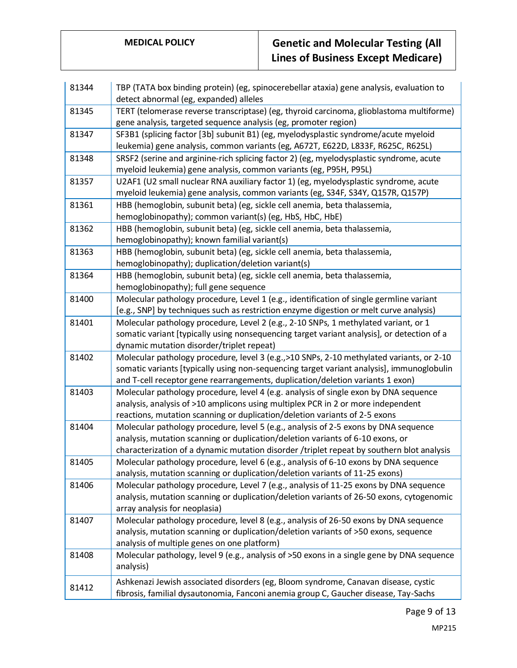| 81344 | TBP (TATA box binding protein) (eg, spinocerebellar ataxia) gene analysis, evaluation to                                                                    |
|-------|-------------------------------------------------------------------------------------------------------------------------------------------------------------|
|       | detect abnormal (eg, expanded) alleles                                                                                                                      |
| 81345 | TERT (telomerase reverse transcriptase) (eg, thyroid carcinoma, glioblastoma multiforme)<br>gene analysis, targeted sequence analysis (eg, promoter region) |
| 81347 | SF3B1 (splicing factor [3b] subunit B1) (eg, myelodysplastic syndrome/acute myeloid                                                                         |
|       | leukemia) gene analysis, common variants (eg, A672T, E622D, L833F, R625C, R625L)                                                                            |
| 81348 | SRSF2 (serine and arginine-rich splicing factor 2) (eg, myelodysplastic syndrome, acute                                                                     |
|       | myeloid leukemia) gene analysis, common variants (eg, P95H, P95L)                                                                                           |
| 81357 | U2AF1 (U2 small nuclear RNA auxiliary factor 1) (eg, myelodysplastic syndrome, acute                                                                        |
|       | myeloid leukemia) gene analysis, common variants (eg, S34F, S34Y, Q157R, Q157P)                                                                             |
| 81361 | HBB (hemoglobin, subunit beta) (eg, sickle cell anemia, beta thalassemia,                                                                                   |
|       | hemoglobinopathy); common variant(s) (eg, HbS, HbC, HbE)                                                                                                    |
| 81362 | HBB (hemoglobin, subunit beta) (eg, sickle cell anemia, beta thalassemia,                                                                                   |
|       | hemoglobinopathy); known familial variant(s)                                                                                                                |
| 81363 | HBB (hemoglobin, subunit beta) (eg, sickle cell anemia, beta thalassemia,                                                                                   |
|       | hemoglobinopathy); duplication/deletion variant(s)                                                                                                          |
| 81364 | HBB (hemoglobin, subunit beta) (eg, sickle cell anemia, beta thalassemia,                                                                                   |
|       | hemoglobinopathy); full gene sequence                                                                                                                       |
| 81400 | Molecular pathology procedure, Level 1 (e.g., identification of single germline variant                                                                     |
|       | [e.g., SNP] by techniques such as restriction enzyme digestion or melt curve analysis)                                                                      |
| 81401 | Molecular pathology procedure, Level 2 (e.g., 2-10 SNPs, 1 methylated variant, or 1                                                                         |
|       | somatic variant [typically using nonsequencing target variant analysis], or detection of a                                                                  |
|       | dynamic mutation disorder/triplet repeat)                                                                                                                   |
| 81402 | Molecular pathology procedure, level 3 (e.g., >10 SNPs, 2-10 methylated variants, or 2-10                                                                   |
|       | somatic variants [typically using non-sequencing target variant analysis], immunoglobulin                                                                   |
|       | and T-cell receptor gene rearrangements, duplication/deletion variants 1 exon)                                                                              |
| 81403 | Molecular pathology procedure, level 4 (e.g. analysis of single exon by DNA sequence                                                                        |
|       | analysis, analysis of >10 amplicons using multiplex PCR in 2 or more independent                                                                            |
|       | reactions, mutation scanning or duplication/deletion variants of 2-5 exons                                                                                  |
| 81404 | Molecular pathology procedure, level 5 (e.g., analysis of 2-5 exons by DNA sequence                                                                         |
|       | analysis, mutation scanning or duplication/deletion variants of 6-10 exons, or                                                                              |
|       | characterization of a dynamic mutation disorder /triplet repeat by southern blot analysis                                                                   |
| 81405 | Molecular pathology procedure, level 6 (e.g., analysis of 6-10 exons by DNA sequence                                                                        |
|       | analysis, mutation scanning or duplication/deletion variants of 11-25 exons)                                                                                |
| 81406 | Molecular pathology procedure, Level 7 (e.g., analysis of 11-25 exons by DNA sequence                                                                       |
|       | analysis, mutation scanning or duplication/deletion variants of 26-50 exons, cytogenomic                                                                    |
|       | array analysis for neoplasia)                                                                                                                               |
| 81407 | Molecular pathology procedure, level 8 (e.g., analysis of 26-50 exons by DNA sequence                                                                       |
|       | analysis, mutation scanning or duplication/deletion variants of >50 exons, sequence                                                                         |
|       | analysis of multiple genes on one platform)                                                                                                                 |
| 81408 | Molecular pathology, level 9 (e.g., analysis of >50 exons in a single gene by DNA sequence                                                                  |
|       | analysis)                                                                                                                                                   |
|       |                                                                                                                                                             |
| 81412 | Ashkenazi Jewish associated disorders (eg, Bloom syndrome, Canavan disease, cystic                                                                          |
|       | fibrosis, familial dysautonomia, Fanconi anemia group C, Gaucher disease, Tay-Sachs                                                                         |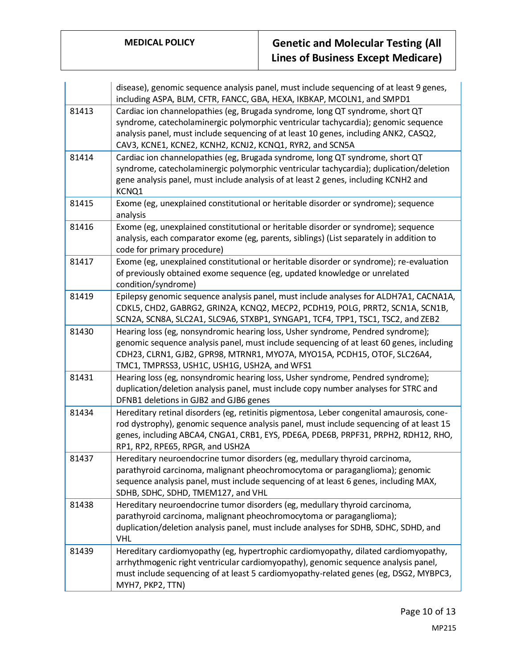|       | disease), genomic sequence analysis panel, must include sequencing of at least 9 genes,<br>including ASPA, BLM, CFTR, FANCC, GBA, HEXA, IKBKAP, MCOLN1, and SMPD1                                                                                                                                                       |
|-------|-------------------------------------------------------------------------------------------------------------------------------------------------------------------------------------------------------------------------------------------------------------------------------------------------------------------------|
| 81413 | Cardiac ion channelopathies (eg, Brugada syndrome, long QT syndrome, short QT<br>syndrome, catecholaminergic polymorphic ventricular tachycardia); genomic sequence<br>analysis panel, must include sequencing of at least 10 genes, including ANK2, CASQ2,<br>CAV3, KCNE1, KCNE2, KCNH2, KCNJ2, KCNQ1, RYR2, and SCN5A |
| 81414 | Cardiac ion channelopathies (eg, Brugada syndrome, long QT syndrome, short QT<br>syndrome, catecholaminergic polymorphic ventricular tachycardia); duplication/deletion<br>gene analysis panel, must include analysis of at least 2 genes, including KCNH2 and<br>KCNQ1                                                 |
| 81415 | Exome (eg, unexplained constitutional or heritable disorder or syndrome); sequence<br>analysis                                                                                                                                                                                                                          |
| 81416 | Exome (eg, unexplained constitutional or heritable disorder or syndrome); sequence<br>analysis, each comparator exome (eg, parents, siblings) (List separately in addition to<br>code for primary procedure)                                                                                                            |
| 81417 | Exome (eg, unexplained constitutional or heritable disorder or syndrome); re-evaluation<br>of previously obtained exome sequence (eg, updated knowledge or unrelated<br>condition/syndrome)                                                                                                                             |
| 81419 | Epilepsy genomic sequence analysis panel, must include analyses for ALDH7A1, CACNA1A,<br>CDKL5, CHD2, GABRG2, GRIN2A, KCNQ2, MECP2, PCDH19, POLG, PRRT2, SCN1A, SCN1B,<br>SCN2A, SCN8A, SLC2A1, SLC9A6, STXBP1, SYNGAP1, TCF4, TPP1, TSC1, TSC2, and ZEB2                                                               |
| 81430 | Hearing loss (eg, nonsyndromic hearing loss, Usher syndrome, Pendred syndrome);<br>genomic sequence analysis panel, must include sequencing of at least 60 genes, including<br>CDH23, CLRN1, GJB2, GPR98, MTRNR1, MYO7A, MYO15A, PCDH15, OTOF, SLC26A4,<br>TMC1, TMPRSS3, USH1C, USH1G, USH2A, and WFS1                 |
| 81431 | Hearing loss (eg, nonsyndromic hearing loss, Usher syndrome, Pendred syndrome);<br>duplication/deletion analysis panel, must include copy number analyses for STRC and<br>DFNB1 deletions in GJB2 and GJB6 genes                                                                                                        |
| 81434 | Hereditary retinal disorders (eg, retinitis pigmentosa, Leber congenital amaurosis, cone-<br>rod dystrophy), genomic sequence analysis panel, must include sequencing of at least 15<br>genes, including ABCA4, CNGA1, CRB1, EYS, PDE6A, PDE6B, PRPF31, PRPH2, RDH12, RHO,<br>RP1, RP2, RPE65, RPGR, and USH2A          |
| 81437 | Hereditary neuroendocrine tumor disorders (eg, medullary thyroid carcinoma,<br>parathyroid carcinoma, malignant pheochromocytoma or paraganglioma); genomic<br>sequence analysis panel, must include sequencing of at least 6 genes, including MAX,<br>SDHB, SDHC, SDHD, TMEM127, and VHL                               |
| 81438 | Hereditary neuroendocrine tumor disorders (eg, medullary thyroid carcinoma,<br>parathyroid carcinoma, malignant pheochromocytoma or paraganglioma);<br>duplication/deletion analysis panel, must include analyses for SDHB, SDHC, SDHD, and<br><b>VHL</b>                                                               |
| 81439 | Hereditary cardiomyopathy (eg, hypertrophic cardiomyopathy, dilated cardiomyopathy,<br>arrhythmogenic right ventricular cardiomyopathy), genomic sequence analysis panel,<br>must include sequencing of at least 5 cardiomyopathy-related genes (eg, DSG2, MYBPC3,<br>MYH7, PKP2, TTN)                                  |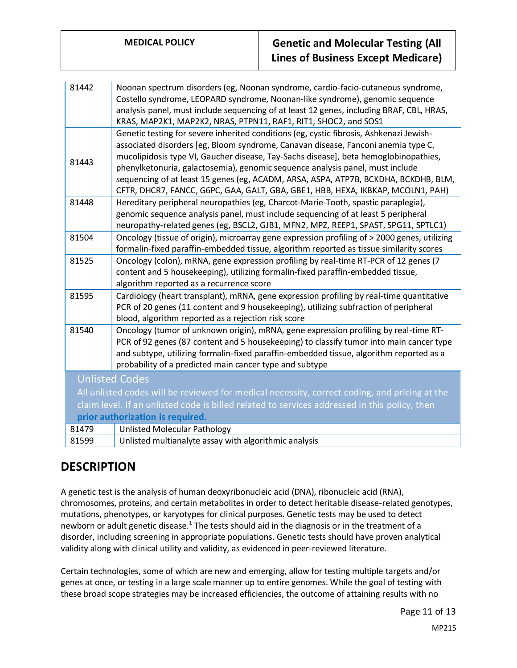| 81442                                                                                                                             | Noonan spectrum disorders (eg, Noonan syndrome, cardio-facio-cutaneous syndrome,<br>Costello syndrome, LEOPARD syndrome, Noonan-like syndrome), genomic sequence<br>analysis panel, must include sequencing of at least 12 genes, including BRAF, CBL, HRAS,<br>KRAS, MAP2K1, MAP2K2, NRAS, PTPN11, RAF1, RIT1, SHOC2, and SOS1                                                                                                                                                                                                 |
|-----------------------------------------------------------------------------------------------------------------------------------|---------------------------------------------------------------------------------------------------------------------------------------------------------------------------------------------------------------------------------------------------------------------------------------------------------------------------------------------------------------------------------------------------------------------------------------------------------------------------------------------------------------------------------|
| 81443                                                                                                                             | Genetic testing for severe inherited conditions (eg, cystic fibrosis, Ashkenazi Jewish-<br>associated disorders [eg, Bloom syndrome, Canavan disease, Fanconi anemia type C,<br>mucolipidosis type VI, Gaucher disease, Tay-Sachs disease], beta hemoglobinopathies,<br>phenylketonuria, galactosemia), genomic sequence analysis panel, must include<br>sequencing of at least 15 genes (eg, ACADM, ARSA, ASPA, ATP7B, BCKDHA, BCKDHB, BLM,<br>CFTR, DHCR7, FANCC, G6PC, GAA, GALT, GBA, GBE1, HBB, HEXA, IKBKAP, MCOLN1, PAH) |
| 81448                                                                                                                             | Hereditary peripheral neuropathies (eg, Charcot-Marie-Tooth, spastic paraplegia),<br>genomic sequence analysis panel, must include sequencing of at least 5 peripheral<br>neuropathy-related genes (eg, BSCL2, GJB1, MFN2, MPZ, REEP1, SPAST, SPG11, SPTLC1)                                                                                                                                                                                                                                                                    |
| 81504                                                                                                                             | Oncology (tissue of origin), microarray gene expression profiling of > 2000 genes, utilizing<br>formalin-fixed paraffin-embedded tissue, algorithm reported as tissue similarity scores                                                                                                                                                                                                                                                                                                                                         |
| 81525                                                                                                                             | Oncology (colon), mRNA, gene expression profiling by real-time RT-PCR of 12 genes (7<br>content and 5 housekeeping), utilizing formalin-fixed paraffin-embedded tissue,<br>algorithm reported as a recurrence score                                                                                                                                                                                                                                                                                                             |
| 81595                                                                                                                             | Cardiology (heart transplant), mRNA, gene expression profiling by real-time quantitative<br>PCR of 20 genes (11 content and 9 housekeeping), utilizing subfraction of peripheral<br>blood, algorithm reported as a rejection risk score                                                                                                                                                                                                                                                                                         |
| 81540                                                                                                                             | Oncology (tumor of unknown origin), mRNA, gene expression profiling by real-time RT-<br>PCR of 92 genes (87 content and 5 housekeeping) to classify tumor into main cancer type<br>and subtype, utilizing formalin-fixed paraffin-embedded tissue, algorithm reported as a<br>probability of a predicted main cancer type and subtype                                                                                                                                                                                           |
| <b>Unlisted Codes</b>                                                                                                             |                                                                                                                                                                                                                                                                                                                                                                                                                                                                                                                                 |
| All unlisted codes will be reviewed for medical necessity, correct coding, and pricing at the                                     |                                                                                                                                                                                                                                                                                                                                                                                                                                                                                                                                 |
| claim level. If an unlisted code is billed related to services addressed in this policy, then<br>prior authorization is required. |                                                                                                                                                                                                                                                                                                                                                                                                                                                                                                                                 |
| 81479                                                                                                                             | <b>Unlisted Molecular Pathology</b>                                                                                                                                                                                                                                                                                                                                                                                                                                                                                             |
| 81599                                                                                                                             | Unlisted multianalyte assay with algorithmic analysis                                                                                                                                                                                                                                                                                                                                                                                                                                                                           |

### **DESCRIPTION**

A genetic test is the analysis of human deoxyribonucleic acid (DNA), ribonucleic acid (RNA), chromosomes, proteins, and certain metabolites in order to detect heritable disease-related genotypes, mutations, phenotypes, or karyotypes for clinical purposes. Genetic tests may be used to detect newborn or adult genetic disease.<sup>1</sup> The tests should aid in the diagnosis or in the treatment of a disorder, including screening in appropriate populations. Genetic tests should have proven analytical validity along with clinical utility and validity, as evidenced in peer-reviewed literature.

Certain technologies, some of which are new and emerging, allow for testing multiple targets and/or genes at once, or testing in a large scale manner up to entire genomes. While the goal of testing with these broad scope strategies may be increased efficiencies, the outcome of attaining results with no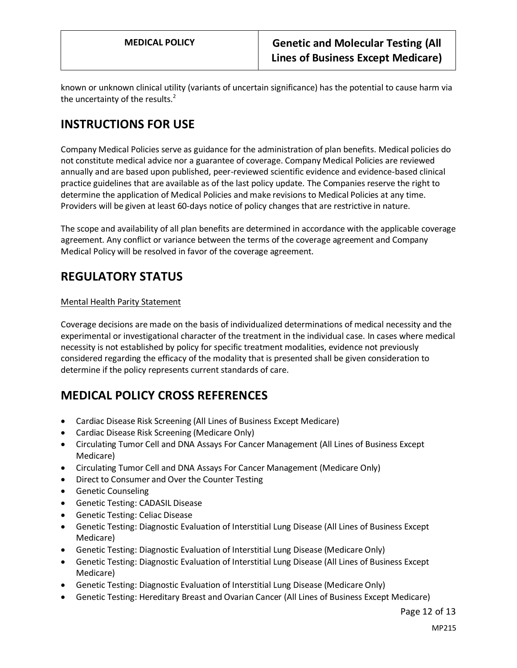known or unknown clinical utility (variants of uncertain significance) has the potential to cause harm via the uncertainty of the results. $2$ 

# **INSTRUCTIONS FOR USE**

Company Medical Policies serve as guidance for the administration of plan benefits. Medical policies do not constitute medical advice nor a guarantee of coverage. Company Medical Policies are reviewed annually and are based upon published, peer-reviewed scientific evidence and evidence-based clinical practice guidelines that are available as of the last policy update. The Companies reserve the right to determine the application of Medical Policies and make revisions to Medical Policies at any time. Providers will be given at least 60-days notice of policy changes that are restrictive in nature.

The scope and availability of all plan benefits are determined in accordance with the applicable coverage agreement. Any conflict or variance between the terms of the coverage agreement and Company Medical Policy will be resolved in favor of the coverage agreement.

# **REGULATORY STATUS**

### Mental Health Parity Statement

Coverage decisions are made on the basis of individualized determinations of medical necessity and the experimental or investigational character of the treatment in the individual case. In cases where medical necessity is not established by policy for specific treatment modalities, evidence not previously considered regarding the efficacy of the modality that is presented shall be given consideration to determine if the policy represents current standards of care.

## **MEDICAL POLICY CROSS REFERENCES**

- Cardiac Disease Risk Screening (All Lines of Business Except Medicare)
- Cardiac Disease Risk Screening (Medicare Only)
- Circulating Tumor Cell and DNA Assays For Cancer Management (All Lines of Business Except Medicare)
- Circulating Tumor Cell and DNA Assays For Cancer Management (Medicare Only)
- Direct to Consumer and Over the Counter Testing
- Genetic Counseling
- Genetic Testing: CADASIL Disease
- Genetic Testing: Celiac Disease
- Genetic Testing: Diagnostic Evaluation of Interstitial Lung Disease (All Lines of Business Except Medicare)
- Genetic Testing: Diagnostic Evaluation of Interstitial Lung Disease (Medicare Only)
- Genetic Testing: Diagnostic Evaluation of Interstitial Lung Disease (All Lines of Business Except Medicare)
- Genetic Testing: Diagnostic Evaluation of Interstitial Lung Disease (Medicare Only)
- Genetic Testing: Hereditary Breast and Ovarian Cancer (All Lines of Business Except Medicare)